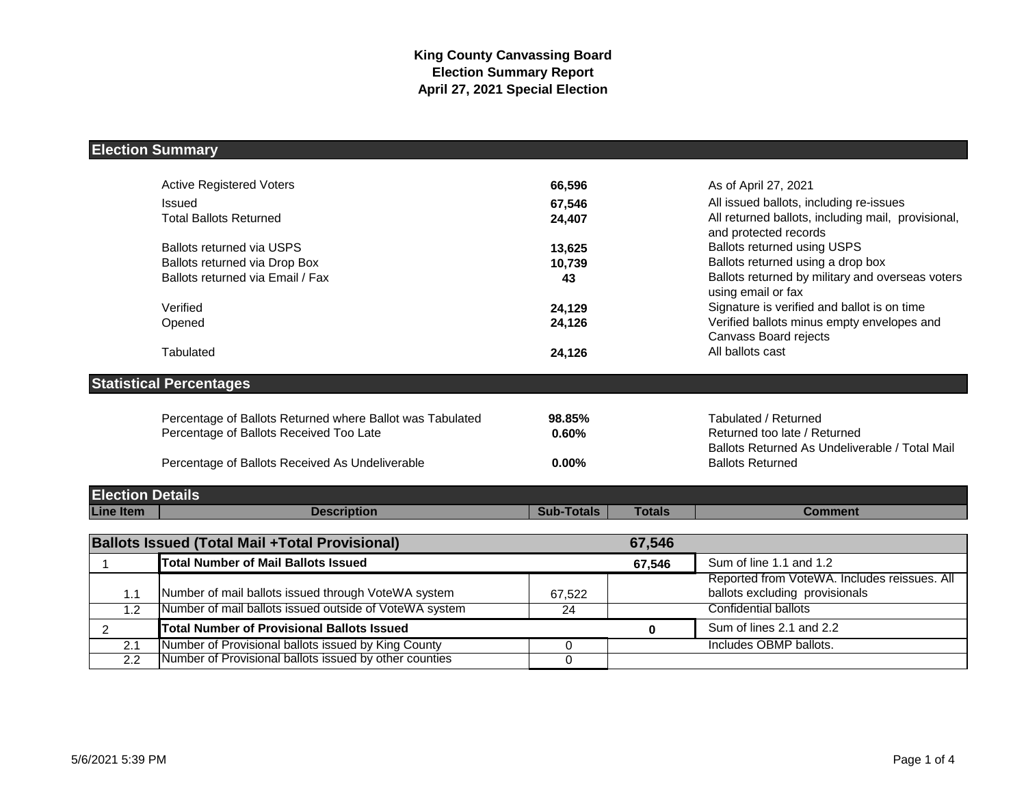# **Election Summary**

|                         | <b>Active Registered Voters</b>                           | 66,596            |               | As of April 27, 2021                                                           |
|-------------------------|-----------------------------------------------------------|-------------------|---------------|--------------------------------------------------------------------------------|
|                         | Issued                                                    | 67,546            |               | All issued ballots, including re-issues                                        |
|                         | <b>Total Ballots Returned</b>                             | 24,407            |               | All returned ballots, including mail, provisional,<br>and protected records    |
|                         | <b>Ballots returned via USPS</b>                          | 13,625            |               | Ballots returned using USPS                                                    |
|                         | Ballots returned via Drop Box                             | 10,739            |               | Ballots returned using a drop box                                              |
|                         | Ballots returned via Email / Fax                          | 43                |               | Ballots returned by military and overseas voters<br>using email or fax         |
|                         | Verified                                                  | 24,129            |               | Signature is verified and ballot is on time                                    |
|                         | Opened                                                    | 24,126            |               | Verified ballots minus empty envelopes and<br>Canvass Board rejects            |
|                         | Tabulated                                                 | 24,126            |               | All ballots cast                                                               |
|                         | <b>Statistical Percentages</b>                            |                   |               |                                                                                |
|                         | Percentage of Ballots Returned where Ballot was Tabulated | 98.85%            |               | Tabulated / Returned                                                           |
|                         | Percentage of Ballots Received Too Late                   | 0.60%             |               | Returned too late / Returned<br>Ballots Returned As Undeliverable / Total Mail |
|                         | Percentage of Ballots Received As Undeliverable           | $0.00\%$          |               | <b>Ballots Returned</b>                                                        |
| <b>Election Details</b> |                                                           |                   |               |                                                                                |
| <b>Line Item</b>        | <b>Description</b>                                        | <b>Sub-Totals</b> | <b>Totals</b> | <b>Comment</b>                                                                 |
|                         |                                                           |                   |               |                                                                                |
|                         | <b>Ballots Issued (Total Mail +Total Provisional)</b>     |                   | 67,546        |                                                                                |
| 1                       | <b>Total Number of Mail Ballots Issued</b>                |                   | 67,546        | Sum of line 1.1 and 1.2                                                        |
|                         |                                                           |                   |               | Reported from VoteWA. Includes reissues. All                                   |
| 1.1                     | Number of mail ballots issued through VoteWA system       | 67,522            |               | ballots excluding provisionals                                                 |
| $\overline{1.2}$        | Number of mail ballots issued outside of VoteWA system    | 24                |               | <b>Confidential ballots</b>                                                    |
| 2                       | <b>Total Number of Provisional Ballots Issued</b>         |                   | 0             | Sum of lines 2.1 and 2.2                                                       |
| 2.1                     | Number of Provisional ballots issued by King County       | 0                 |               | Includes OBMP ballots.                                                         |
| $\overline{2.2}$        | Number of Provisional ballots issued by other counties    | $\Omega$          |               |                                                                                |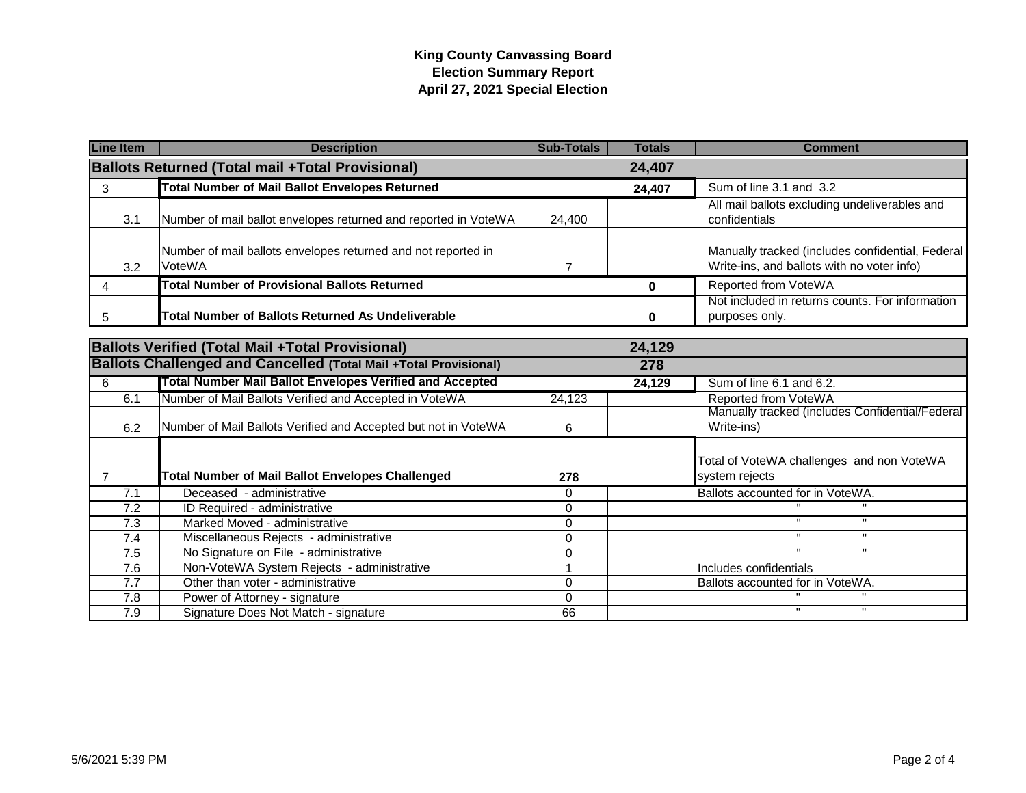## **King County Canvassing Board Election Summary Report April 27, 2021 Special Election**

| <b>Line Item</b>                                                  | <b>Description</b>                                                      | <b>Sub-Totals</b> | <b>Totals</b> | <b>Comment</b>                                                                                 |
|-------------------------------------------------------------------|-------------------------------------------------------------------------|-------------------|---------------|------------------------------------------------------------------------------------------------|
| <b>Ballots Returned (Total mail +Total Provisional)</b><br>24,407 |                                                                         |                   |               |                                                                                                |
| 3                                                                 | <b>Total Number of Mail Ballot Envelopes Returned</b>                   |                   | 24,407        | Sum of line 3.1 and 3.2                                                                        |
| 3.1                                                               | Number of mail ballot envelopes returned and reported in VoteWA         | 24,400            |               | All mail ballots excluding undeliverables and<br>confidentials                                 |
| 3.2                                                               | Number of mail ballots envelopes returned and not reported in<br>VoteWA | 7                 |               | Manually tracked (includes confidential, Federal<br>Write-ins, and ballots with no voter info) |
| 4                                                                 | <b>Total Number of Provisional Ballots Returned</b>                     |                   | 0             | Reported from VoteWA                                                                           |
| 5                                                                 | <b>Total Number of Ballots Returned As Undeliverable</b>                |                   | 0             | Not included in returns counts. For information<br>purposes only.                              |
| <b>Ballots Verified (Total Mail +Total Provisional)</b><br>24,129 |                                                                         |                   |               |                                                                                                |
|                                                                   | <b>Ballots Challenged and Cancelled (Total Mail +Total Provisional)</b> |                   | 278           |                                                                                                |
| 6                                                                 | <b>Total Number Mail Ballot Envelopes Verified and Accepted</b>         |                   | 24,129        | Sum of line 6.1 and 6.2.                                                                       |
| 6.1                                                               | Number of Mail Ballots Verified and Accepted in VoteWA                  | 24.123            |               | Reported from VoteWA                                                                           |
| 6.2                                                               | Number of Mail Ballots Verified and Accepted but not in VoteWA          | 6                 |               | Manually tracked (includes Confidential/Federal<br>Write-ins)                                  |
| $\overline{7}$                                                    | <b>Total Number of Mail Ballot Envelopes Challenged</b>                 | 278               |               | Total of VoteWA challenges and non VoteWA<br>system rejects                                    |
| 7.1                                                               | Deceased - administrative                                               | $\Omega$          |               | Ballots accounted for in VoteWA.                                                               |
| 7.2                                                               | ID Required - administrative                                            | $\Omega$          |               |                                                                                                |
| $\overline{7.3}$                                                  | Marked Moved - administrative                                           | $\Omega$          |               | $\mathbf{u}$<br>$\mathbf{H}$                                                                   |
| 7.4                                                               | Miscellaneous Rejects - administrative                                  | $\Omega$          |               | $\mathbf{u}$<br>$\mathbf{H}$                                                                   |
| 7.5                                                               | No Signature on File - administrative                                   | 0                 |               | $\mathbf{u}$<br>$\mathbf{H}$                                                                   |
| 7.6                                                               | Non-VoteWA System Rejects - administrative                              | 1                 |               | Includes confidentials                                                                         |
| 7.7                                                               | Other than voter - administrative                                       | $\Omega$          |               | Ballots accounted for in VoteWA.                                                               |
| 7.8                                                               | Power of Attorney - signature                                           | $\Omega$          |               |                                                                                                |
| $\overline{7.9}$                                                  | Signature Does Not Match - signature                                    | 66                |               | $\mathbf{u}$                                                                                   |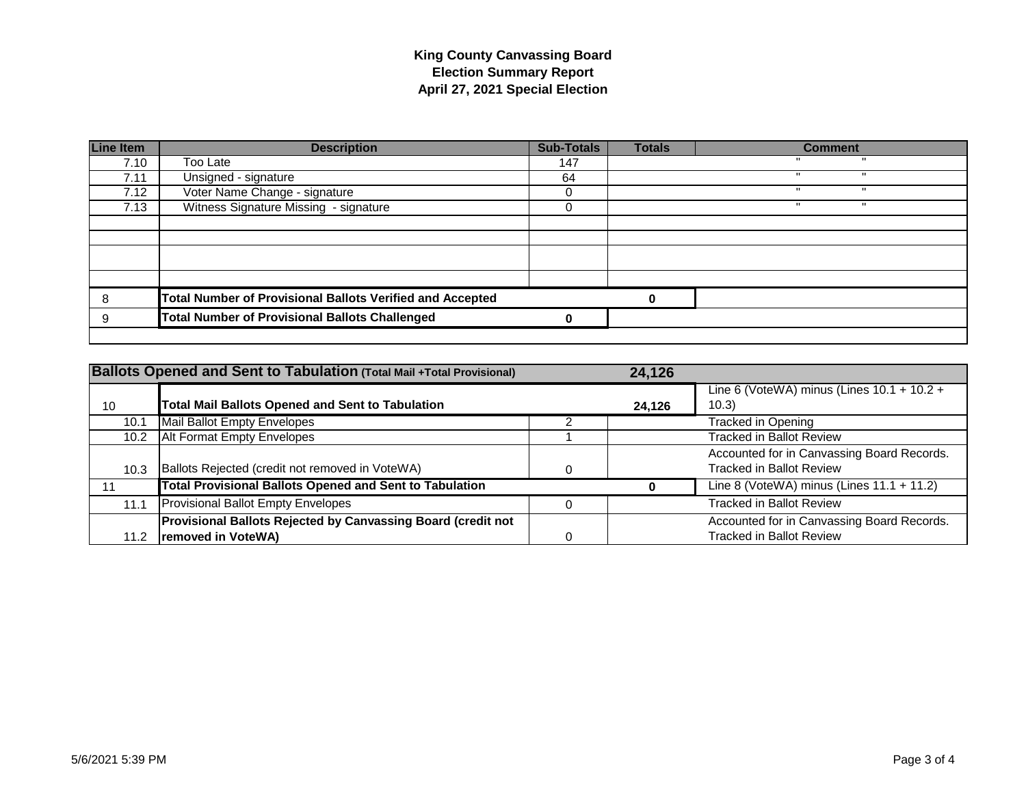## **King County Canvassing Board Election Summary Report April 27, 2021 Special Election**

| <b>Line Item</b> | <b>Description</b>                                               | <b>Sub-Totals</b> | <b>Totals</b> | <b>Comment</b> |
|------------------|------------------------------------------------------------------|-------------------|---------------|----------------|
| 7.10             | Too Late                                                         | 147               |               |                |
| 7.11             | Unsigned - signature                                             | 64                |               |                |
| 7.12             | Voter Name Change - signature                                    |                   |               |                |
| 7.13             | Witness Signature Missing - signature                            | U                 |               | ш              |
|                  |                                                                  |                   |               |                |
|                  |                                                                  |                   |               |                |
|                  |                                                                  |                   |               |                |
|                  |                                                                  |                   |               |                |
|                  |                                                                  |                   |               |                |
| 8                | <b>Total Number of Provisional Ballots Verified and Accepted</b> |                   | 0             |                |
| 9                | <b>Total Number of Provisional Ballots Challenged</b>            | o                 |               |                |
|                  |                                                                  |                   |               |                |

|                   | <b>Ballots Opened and Sent to Tabulation (Total Mail +Total Provisional)</b>       | 24,126 |                                                                               |
|-------------------|------------------------------------------------------------------------------------|--------|-------------------------------------------------------------------------------|
| 10                | <b>Total Mail Ballots Opened and Sent to Tabulation</b>                            | 24,126 | Line 6 (VoteWA) minus (Lines $10.1 + 10.2 +$<br>(10.3)                        |
| 10.1              | Mail Ballot Empty Envelopes                                                        |        | Tracked in Opening                                                            |
| 10.2 <sub>1</sub> | <b>Alt Format Empty Envelopes</b>                                                  |        | <b>Tracked in Ballot Review</b>                                               |
| 10.3              | Ballots Rejected (credit not removed in VoteWA)                                    |        | Accounted for in Canvassing Board Records.<br><b>Tracked in Ballot Review</b> |
|                   | <b>Total Provisional Ballots Opened and Sent to Tabulation</b>                     |        | Line 8 (VoteWA) minus (Lines $11.1 + 11.2$ )                                  |
| 11.1              | Provisional Ballot Empty Envelopes                                                 |        | Tracked in Ballot Review                                                      |
| 11.2              | Provisional Ballots Rejected by Canvassing Board (credit not<br>removed in VoteWA) |        | Accounted for in Canvassing Board Records.<br><b>Tracked in Ballot Review</b> |